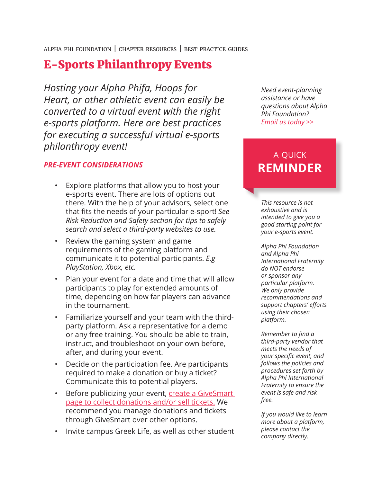alpha phi foundation | chapter resources | best practice guides

## E-Sports Philanthropy Events

*Hosting your Alpha Phifa, Hoops for Heart, or other athletic event can easily be converted to a virtual event with the right e-sports platform. Here are best practices for executing a successful virtual e-sports philanthropy event!*

### *PRE-EVENT CONSIDERATIONS*

- Explore platforms that allow you to host your e-sports event. There are lots of options out there. With the help of your advisors, select one that fits the needs of your particular e-sport! *See Risk Reduction and Safety section for tips to safely search and select a third-party websites to use.*
- Review the gaming system and game requirements of the gaming platform and communicate it to potential participants. *E.g PlayStation, Xbox, etc.*
- Plan your event for a date and time that will allow participants to play for extended amounts of time, depending on how far players can advance in the tournament.
- Familiarize yourself and your team with the thirdparty platform. Ask a representative for a demo or any free training. You should be able to train, instruct, and troubleshoot on your own before, after, and during your event.
- Decide on the participation fee. Are participants required to make a donation or buy a ticket? Communicate this to potential players.
- Before publicizing your event, **create a GiveSmart** page to collect donations and/or sell tickets. We recommend you manage donations and tickets through GiveSmart over other options.
- Invite campus Greek Life, as well as other student

*Need event-planning assistance or have questions about Alpha Phi Foundation? Email us today >>*

## a quick **REMINDER**

*This resource is not exhaustive and is intended to give you a good starting point for your e-sports event.* 

*Alpha Phi Foundation and Alpha Phi International Fraternity do NOT endorse or sponsor any particular platform. We only provide recommendations and support chapters' efforts using their chosen platform.*

*Remember to find a third-party vendor that meets the needs of your specific event, and follows the policies and procedures set forth by Alpha Phi International Fraternity to ensure the event is safe and riskfree.*

*If you would like to learn more about a platform, please contact the company directly.*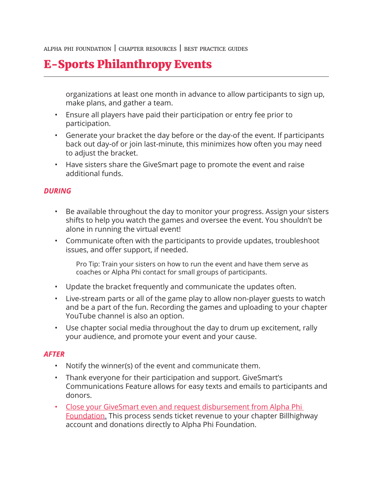alpha phi foundation | chapter resources | best practice guides

## E-Sports Philanthropy Events

organizations at least one month in advance to allow participants to sign up, make plans, and gather a team.

- Ensure all players have paid their participation or entry fee prior to participation.
- Generate your bracket the day before or the day-of the event. If participants back out day-of or join last-minute, this minimizes how often you may need to adjust the bracket.
- Have sisters share the GiveSmart page to promote the event and raise additional funds.

### *DURING*

- Be available throughout the day to monitor your progress. Assign your sisters shifts to help you watch the games and oversee the event. You shouldn't be alone in running the virtual event!
- Communicate often with the participants to provide updates, troubleshoot issues, and offer support, if needed.

Pro Tip: Train your sisters on how to run the event and have them serve as coaches or Alpha Phi contact for small groups of participants.

- Update the bracket frequently and communicate the updates often.
- Live-stream parts or all of the game play to allow non-player guests to watch and be a part of the fun. Recording the games and uploading to your chapter YouTube channel is also an option.
- Use chapter social media throughout the day to drum up excitement, rally your audience, and promote your event and your cause.

### *AFTER*

- Notify the winner(s) of the event and communicate them.
- Thank everyone for their participation and support. GiveSmart's Communications Feature allows for easy texts and emails to participants and donors.
- Close your GiveSmart even and request disbursement from Alpha Phi Foundation. This process sends ticket revenue to your chapter Billhighway account and donations directly to Alpha Phi Foundation.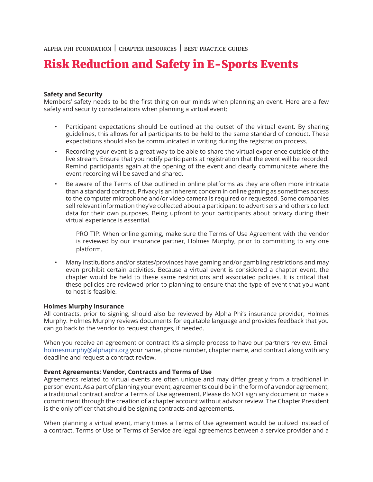# Risk Reduction and Safety in E-Sports Events

#### **Safety and Security**

Members' safety needs to be the first thing on our minds when planning an event. Here are a few safety and security considerations when planning a virtual event:

- Participant expectations should be outlined at the outset of the virtual event. By sharing guidelines, this allows for all participants to be held to the same standard of conduct. These expectations should also be communicated in writing during the registration process.
- Recording your event is a great way to be able to share the virtual experience outside of the live stream. Ensure that you notify participants at registration that the event will be recorded. Remind participants again at the opening of the event and clearly communicate where the event recording will be saved and shared.
- Be aware of the Terms of Use outlined in online platforms as they are often more intricate than a standard contract. Privacy is an inherent concern in online gaming as sometimes access to the computer microphone and/or video camera is required or requested. Some companies sell relevant information they've collected about a participant to advertisers and others collect data for their own purposes. Being upfront to your participants about privacy during their virtual experience is essential.

PRO TIP: When online gaming, make sure the Terms of Use Agreement with the vendor is reviewed by our insurance partner, Holmes Murphy, prior to committing to any one platform.

• Many institutions and/or states/provinces have gaming and/or gambling restrictions and may even prohibit certain activities. Because a virtual event is considered a chapter event, the chapter would be held to these same restrictions and associated policies. It is critical that these policies are reviewed prior to planning to ensure that the type of event that you want to host is feasible.

#### **Holmes Murphy Insurance**

All contracts, prior to signing, should also be reviewed by Alpha Phi's insurance provider, Holmes Murphy. Holmes Murphy reviews documents for equitable language and provides feedback that you can go back to the vendor to request changes, if needed.

When you receive an agreement or contract it's a simple process to have our partners review. Email holmesmurphy@alphaphi.org your name, phone number, chapter name, and contract along with any deadline and request a contract review.

#### **Event Agreements: Vendor, Contracts and Terms of Use**

Agreements related to virtual events are often unique and may differ greatly from a traditional in person event. As a part of planning your event, agreements could be in the form of a vendor agreement, a traditional contract and/or a Terms of Use agreement. Please do NOT sign any document or make a commitment through the creation of a chapter account without advisor review. The Chapter President is the only officer that should be signing contracts and agreements.

When planning a virtual event, many times a Terms of Use agreement would be utilized instead of a contract. Terms of Use or Terms of Service are legal agreements between a service provider and a